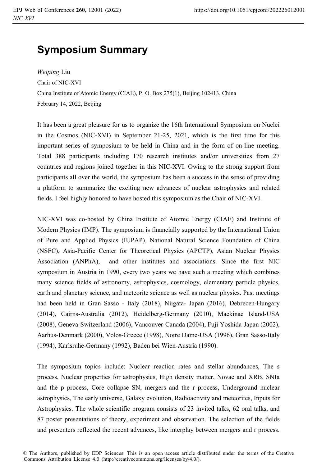## **Symposium Summary**

*Weiping* Liu Chair of NIC-XVI China Institute of Atomic Energy (CIAE), P. O. Box 275(1), Beijing 102413, China February 14, 2022, Beijing

It has been a great pleasure for us to organize the 16th International Symposium on Nuclei in the Cosmos (NIC-XVI) in September 21-25, 2021, which is the first time for this important series of symposium to be held in China and in the form of on-line meeting. Total 388 participants including 170 research institutes and/or universities from 27 countries and regions joined together in this NIC-XVI. Owing to the strong support from participants all over the world, the symposium has been a success in the sense of providing a platform to summarize the exciting new advances of nuclear astrophysics and related fields. I feel highly honored to have hosted this symposium as the Chair of NIC-XVI.

NIC-XVI was co-hosted by China Institute of Atomic Energy (CIAE) and Institute of Modern Physics (IMP). The symposium is financially supported by the International Union of Pure and Applied Physics (IUPAP), National Natural Science Foundation of China (NSFC), Asia-Pacific Center for Theoretical Physics (APCTP), Asian Nuclear Physics Association (ANPhA), and other institutes and associations. Since the first NIC symposium in Austria in 1990, every two years we have such a meeting which combines many science fields of astronomy, astrophysics, cosmology, elementary particle physics, earth and planetary science, and meteorite science as well as nuclear physics. Past meetings had been held in Gran Sasso - Italy (2018), Niigata- Japan (2016), Debrecen-Hungary (2014), Cairns-Australia (2012), Heidelberg-Germany (2010), Mackinac Island-USA (2008), Geneva-Switzerland (2006), Vancouver-Canada (2004), Fuji Yoshida-Japan (2002), Aarhus-Denmark (2000), Volos-Greece (1998), Notre Dame-USA (1996), Gran Sasso-Italy (1994), Karlsruhe-Germany (1992), Baden bei Wien-Austria (1990).

The symposium topics include: Nuclear reaction rates and stellar abundances, The s process, Nuclear properties for astrophysics, High density matter, Novae and XRB, SNIa and the p process, Core collapse SN, mergers and the r process, Underground nuclear astrophysics, The early universe, Galaxy evolution, Radioactivity and meteorites, Inputs for Astrophysics. The whole scientific program consists of 23 invited talks, 62 oral talks, and 87 poster presentations of theory, experiment and observation. The selection of the fields and presenters reflected the recent advances, like interplay between mergers and r process.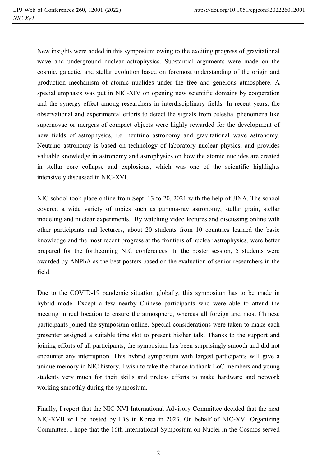New insights were added in this symposium owing to the exciting progress of gravitational wave and underground nuclear astrophysics. Substantial arguments were made on the cosmic, galactic, and stellar evolution based on foremost understanding of the origin and production mechanism of atomic nuclides under the free and generous atmosphere. A special emphasis was put in NIC-XIV on opening new scientific domains by cooperation and the synergy effect among researchers in interdisciplinary fields. In recent years, the observational and experimental efforts to detect the signals from celestial phenomena like supernovae or mergers of compact objects were highly rewarded for the development of new fields of astrophysics, i.e. neutrino astronomy and gravitational wave astronomy. Neutrino astronomy is based on technology of laboratory nuclear physics, and provides valuable knowledge in astronomy and astrophysics on how the atomic nuclides are created in stellar core collapse and explosions, which was one of the scientific highlights intensively discussed in NIC-XVI.

NIC school took place online from Sept. 13 to 20, 2021 with the help of JINA. The school covered a wide variety of topics such as gamma-ray astronomy, stellar grain, stellar modeling and nuclear experiments. By watching video lectures and discussing online with other participants and lecturers, about 20 students from 10 countries learned the basic knowledge and the most recent progress at the frontiers of nuclear astrophysics, were better prepared for the forthcoming NIC conferences. In the poster session, 5 students were awarded by ANPhA as the best posters based on the evaluation of senior researchers in the field.

Due to the COVID-19 pandemic situation globally, this symposium has to be made in hybrid mode. Except a few nearby Chinese participants who were able to attend the meeting in real location to ensure the atmosphere, whereas all foreign and most Chinese participants joined the symposium online. Special considerations were taken to make each presenter assigned a suitable time slot to present his/her talk. Thanks to the support and joining efforts of all participants, the symposium has been surprisingly smooth and did not encounter any interruption. This hybrid symposium with largest participants will give a unique memory in NIC history. I wish to take the chance to thank LoC members and young students very much for their skills and tireless efforts to make hardware and network working smoothly during the symposium.

Finally, I report that the NIC-XVI International Advisory Committee decided that the next NIC-XVII will be hosted by IBS in Korea in 2023. On behalf of NIC-XVI Organizing Committee, I hope that the 16th International Symposium on Nuclei in the Cosmos served